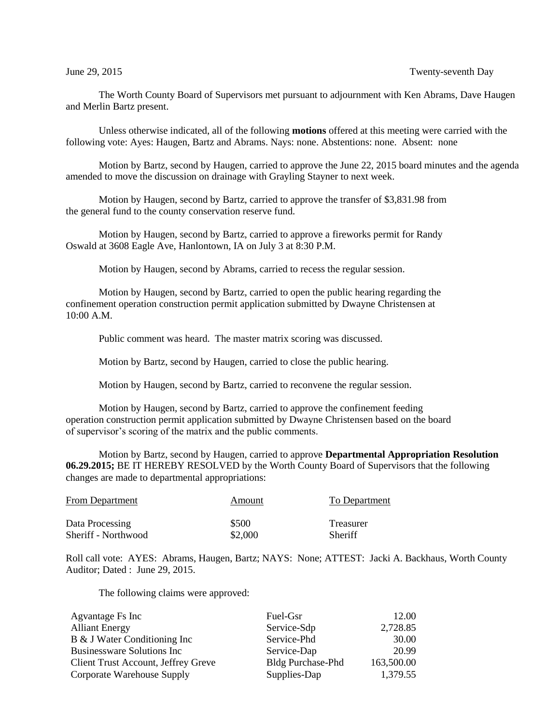The Worth County Board of Supervisors met pursuant to adjournment with Ken Abrams, Dave Haugen and Merlin Bartz present.

Unless otherwise indicated, all of the following **motions** offered at this meeting were carried with the following vote: Ayes: Haugen, Bartz and Abrams. Nays: none. Abstentions: none. Absent: none

Motion by Bartz, second by Haugen, carried to approve the June 22, 2015 board minutes and the agenda amended to move the discussion on drainage with Grayling Stayner to next week.

Motion by Haugen, second by Bartz, carried to approve the transfer of \$3,831.98 from the general fund to the county conservation reserve fund.

Motion by Haugen, second by Bartz, carried to approve a fireworks permit for Randy Oswald at 3608 Eagle Ave, Hanlontown, IA on July 3 at 8:30 P.M.

Motion by Haugen, second by Abrams, carried to recess the regular session.

Motion by Haugen, second by Bartz, carried to open the public hearing regarding the confinement operation construction permit application submitted by Dwayne Christensen at 10:00 A.M.

Public comment was heard. The master matrix scoring was discussed.

Motion by Bartz, second by Haugen, carried to close the public hearing.

Motion by Haugen, second by Bartz, carried to reconvene the regular session.

Motion by Haugen, second by Bartz, carried to approve the confinement feeding operation construction permit application submitted by Dwayne Christensen based on the board of supervisor's scoring of the matrix and the public comments.

Motion by Bartz, second by Haugen, carried to approve **Departmental Appropriation Resolution 06.29.2015;** BE IT HEREBY RESOLVED by the Worth County Board of Supervisors that the following changes are made to departmental appropriations:

| <b>From Department</b> | Amount  | To Department |
|------------------------|---------|---------------|
| Data Processing        | \$500   | Treasurer     |
| Sheriff - Northwood    | \$2,000 | Sheriff       |

Roll call vote: AYES: Abrams, Haugen, Bartz; NAYS: None; ATTEST: Jacki A. Backhaus, Worth County Auditor; Dated : June 29, 2015.

The following claims were approved:

| Agvantage Fs Inc                    | Fuel-Gsr                 | 12.00      |
|-------------------------------------|--------------------------|------------|
| <b>Alliant Energy</b>               | Service-Sdp              | 2,728.85   |
| B & J Water Conditioning Inc        | Service-Phd              | 30.00      |
| Businessware Solutions Inc          | Service-Dap              | 20.99      |
| Client Trust Account, Jeffrey Greve | <b>Bldg Purchase-Phd</b> | 163,500.00 |
| Corporate Warehouse Supply          | Supplies-Dap             | 1,379.55   |